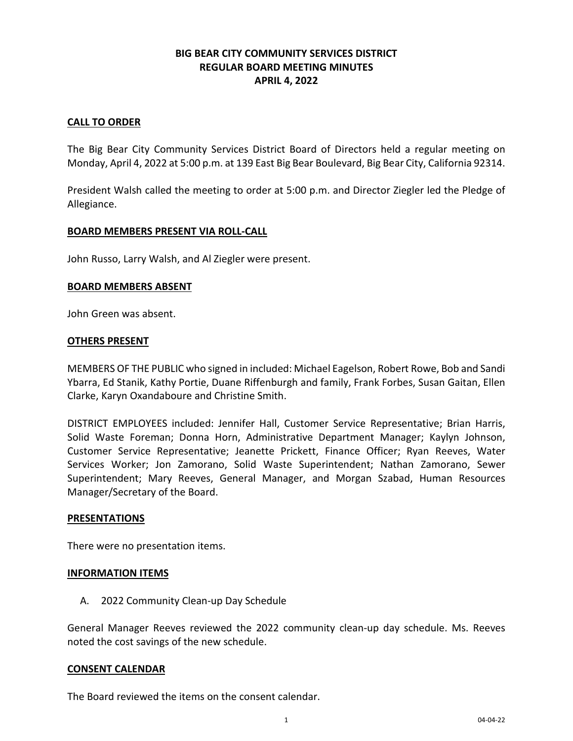# **BIG BEAR CITY COMMUNITY SERVICES DISTRICT REGULAR BOARD MEETING MINUTES APRIL 4, 2022**

### **CALL TO ORDER**

The Big Bear City Community Services District Board of Directors held a regular meeting on Monday, April 4, 2022 at 5:00 p.m. at 139 East Big Bear Boulevard, Big Bear City, California 92314.

President Walsh called the meeting to order at 5:00 p.m. and Director Ziegler led the Pledge of Allegiance.

## **BOARD MEMBERS PRESENT VIA ROLL-CALL**

John Russo, Larry Walsh, and Al Ziegler were present.

#### **BOARD MEMBERS ABSENT**

John Green was absent.

#### **OTHERS PRESENT**

MEMBERS OF THE PUBLIC who signed in included: Michael Eagelson, Robert Rowe, Bob and Sandi Ybarra, Ed Stanik, Kathy Portie, Duane Riffenburgh and family, Frank Forbes, Susan Gaitan, Ellen Clarke, Karyn Oxandaboure and Christine Smith.

DISTRICT EMPLOYEES included: Jennifer Hall, Customer Service Representative; Brian Harris, Solid Waste Foreman; Donna Horn, Administrative Department Manager; Kaylyn Johnson, Customer Service Representative; Jeanette Prickett, Finance Officer; Ryan Reeves, Water Services Worker; Jon Zamorano, Solid Waste Superintendent; Nathan Zamorano, Sewer Superintendent; Mary Reeves, General Manager, and Morgan Szabad, Human Resources Manager/Secretary of the Board.

#### **PRESENTATIONS**

There were no presentation items.

#### **INFORMATION ITEMS**

A. 2022 Community Clean-up Day Schedule

General Manager Reeves reviewed the 2022 community clean-up day schedule. Ms. Reeves noted the cost savings of the new schedule.

#### **CONSENT CALENDAR**

The Board reviewed the items on the consent calendar.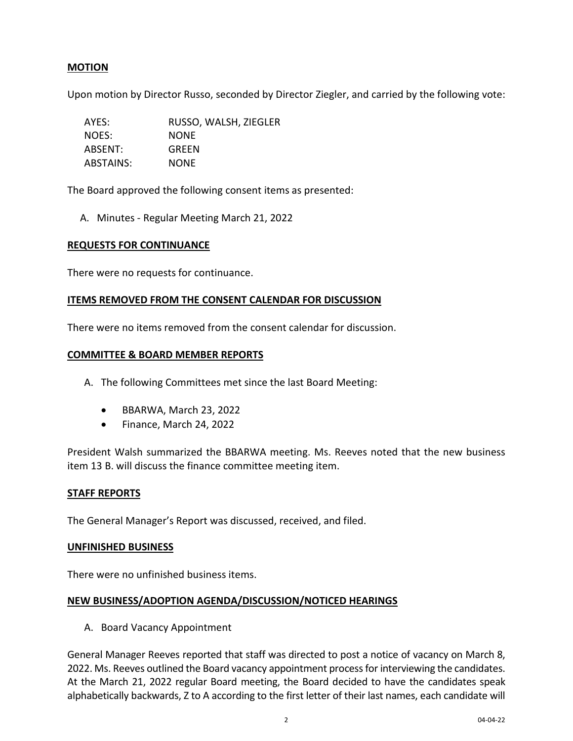# **MOTION**

Upon motion by Director Russo, seconded by Director Ziegler, and carried by the following vote:

AYES: RUSSO, WALSH, ZIEGLER NOES: NONE ABSENT: GREEN ABSTAINS: NONE

The Board approved the following consent items as presented:

A. Minutes - Regular Meeting March 21, 2022

#### **REQUESTS FOR CONTINUANCE**

There were no requests for continuance.

## **ITEMS REMOVED FROM THE CONSENT CALENDAR FOR DISCUSSION**

There were no items removed from the consent calendar for discussion.

## **COMMITTEE & BOARD MEMBER REPORTS**

- A. The following Committees met since the last Board Meeting:
	- BBARWA, March 23, 2022
	- Finance, March 24, 2022

President Walsh summarized the BBARWA meeting. Ms. Reeves noted that the new business item 13 B. will discuss the finance committee meeting item.

#### **STAFF REPORTS**

The General Manager's Report was discussed, received, and filed.

#### **UNFINISHED BUSINESS**

There were no unfinished business items.

#### **NEW BUSINESS/ADOPTION AGENDA/DISCUSSION/NOTICED HEARINGS**

A. Board Vacancy Appointment

General Manager Reeves reported that staff was directed to post a notice of vacancy on March 8, 2022. Ms. Reeves outlined the Board vacancy appointment process for interviewing the candidates. At the March 21, 2022 regular Board meeting, the Board decided to have the candidates speak alphabetically backwards, Z to A according to the first letter of their last names, each candidate will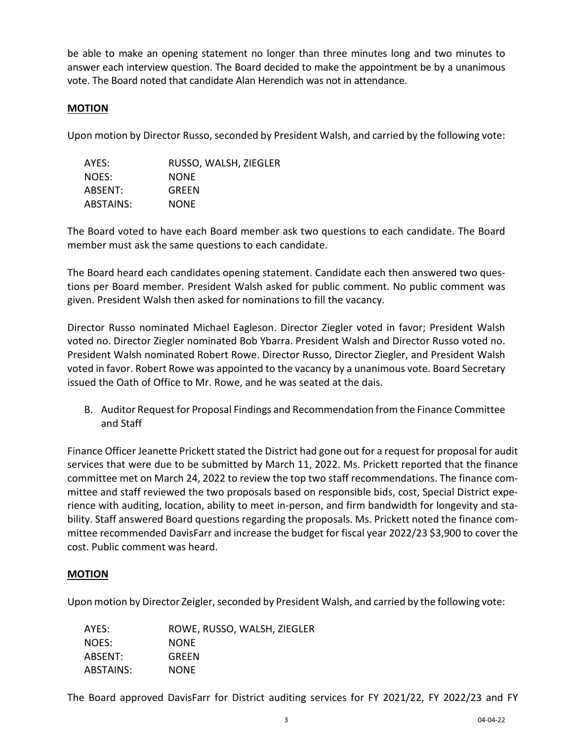be able to make an opening statement no longer than three minutes long and two minutes to answer each interview question. The Board decided to make the appointment be by a unanimous vote. The Board noted that candidate Alan Herendich was not in attendance.

# **MOTION**

Upon motion by Director Russo, seconded by President Walsh, and carried by the following vote:

| AYES:     | RUSSO, WALSH, ZIEGLER |
|-----------|-----------------------|
| NOES:     | <b>NONE</b>           |
| ABSENT:   | GREEN                 |
| ABSTAINS: | <b>NONE</b>           |

The Board voted to have each Board member ask two questions to each candidate. The Board member must ask the same questions to each candidate.

The Board heard each candidates opening statement. Candidate each then answered two questions per Board member. President Walsh asked for public comment. No public comment was given. President Walsh then asked for nominations to fill the vacancy.

Director Russo nominated Michael Eagleson. Director Ziegler voted in favor; President Walsh voted no. Director Ziegler nominated Bob Ybarra. President Walsh and Director Russo voted no. President Walsh nominated Robert Rowe. Director Russo, Director Ziegler, and President Walsh voted in favor. Robert Rowe was appointed to the vacancy by a unanimous vote. Board Secretary issued the Oath of Office to Mr. Rowe, and he was seated at the dais.

B. Auditor Request for Proposal Findings and Recommendation from the Finance Committee and Staff

Finance Officer Jeanette Prickett stated the District had gone out for a request for proposal for audit services that were due to be submitted by March 11, 2022. Ms. Prickett reported that the finance committee met on March 24, 2022 to review the top two staff recommendations. The finance committee and staff reviewed the two proposals based on responsible bids, cost, Special District experience with auditing, location, ability to meet in-person, and firm bandwidth for longevity and stability. Staff answered Board questions regarding the proposals. Ms. Prickett noted the finance committee recommended DavisFarr and increase the budget for fiscal year 2022/23 \$3,900 to cover the cost. Public comment was heard.

# **MOTION**

Upon motion by Director Zeigler, seconded by President Walsh, and carried by the following vote:

| AYES:     | ROWE, RUSSO, WALSH, ZIEGLER |
|-----------|-----------------------------|
| NOES:     | <b>NONE</b>                 |
| ABSENT:   | GREEN                       |
| ABSTAINS: | <b>NONE</b>                 |

The Board approved DavisFarr for District auditing services for FY 2021/22, FY 2022/23 and FY